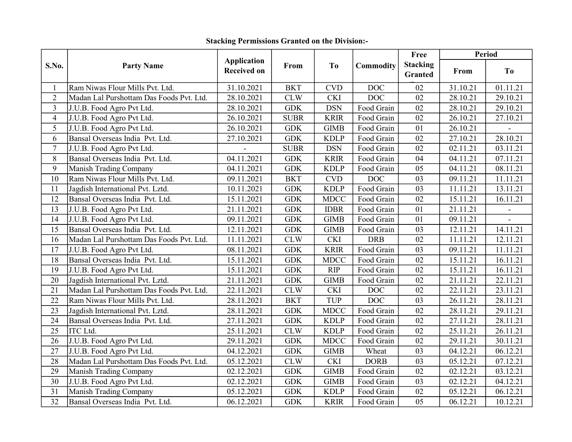| S.No.           | <b>Party Name</b>                        | <b>Application</b><br><b>Received on</b> | From        | T <sub>0</sub> | Commodity   | Free                       | <b>Period</b> |                |
|-----------------|------------------------------------------|------------------------------------------|-------------|----------------|-------------|----------------------------|---------------|----------------|
|                 |                                          |                                          |             |                |             | <b>Stacking</b><br>Granted | From          | T <sub>0</sub> |
|                 | Ram Niwas Flour Mills Pvt. Ltd.          | 31.10.2021                               | <b>BKT</b>  | <b>CVD</b>     | <b>DOC</b>  | 02                         | 31.10.21      | 01.11.21       |
| $\overline{2}$  | Madan Lal Purshottam Das Foods Pvt. Ltd. | 28.10.2021                               | <b>CLW</b>  | <b>CKI</b>     | <b>DOC</b>  | 02                         | 28.10.21      | 29.10.21       |
| $\overline{3}$  | J.U.B. Food Agro Pvt Ltd.                | 28.10.2021                               | <b>GDK</b>  | <b>DSN</b>     | Food Grain  | 02                         | 28.10.21      | 29.10.21       |
| $\overline{4}$  | J.U.B. Food Agro Pvt Ltd.                | 26.10.2021                               | <b>SUBR</b> | <b>KRIR</b>    | Food Grain  | 02                         | 26.10.21      | 27.10.21       |
| 5               | J.U.B. Food Agro Pvt Ltd.                | 26.10.2021                               | <b>GDK</b>  | <b>GIMB</b>    | Food Grain  | 01                         | 26.10.21      |                |
| 6               | Bansal Overseas India Pvt. Ltd.          | 27.10.2021                               | <b>GDK</b>  | <b>KDLP</b>    | Food Grain  | 02                         | 27.10.21      | 28.10.21       |
| $\overline{7}$  | J.U.B. Food Agro Pvt Ltd.                |                                          | <b>SUBR</b> | <b>DSN</b>     | Food Grain  | 02                         | 02.11.21      | 03.11.21       |
| 8               | Bansal Overseas India Pvt. Ltd.          | 04.11.2021                               | <b>GDK</b>  | <b>KRIR</b>    | Food Grain  | 04                         | 04.11.21      | 07.11.21       |
| 9               | <b>Manish Trading Company</b>            | 04.11.2021                               | <b>GDK</b>  | <b>KDLP</b>    | Food Grain  | 05                         | 04.11.21      | 08.11.21       |
| 10              | Ram Niwas Flour Mills Pvt. Ltd.          | 09.11.2021                               | <b>BKT</b>  | <b>CVD</b>     | <b>DOC</b>  | 03                         | 09.11.21      | 11.11.21       |
| 11              | Jagdish International Pvt. Lztd.         | 10.11.2021                               | <b>GDK</b>  | <b>KDLP</b>    | Food Grain  | 03                         | 11.11.21      | 13.11.21       |
| 12              | Bansal Overseas India Pvt. Ltd.          | 15.11.2021                               | <b>GDK</b>  | <b>MDCC</b>    | Food Grain  | 02                         | 15.11.21      | 16.11.21       |
| 13              | J.U.B. Food Agro Pvt Ltd.                | 21.11.2021                               | <b>GDK</b>  | <b>IDBR</b>    | Food Grain  | 01                         | 21.11.21      |                |
| 14              | J.U.B. Food Agro Pvt Ltd.                | 09.11.2021                               | <b>GDK</b>  | <b>GIMB</b>    | Food Grain  | 01                         | 09.11.21      |                |
| 15              | Bansal Overseas India Pvt. Ltd.          | 12.11.2021                               | <b>GDK</b>  | <b>GIMB</b>    | Food Grain  | 03                         | 12.11.21      | 14.11.21       |
| 16              | Madan Lal Purshottam Das Foods Pvt. Ltd. | 11.11.2021                               | CLW         | <b>CKI</b>     | <b>DRB</b>  | 02                         | 11.11.21      | 12.11.21       |
| 17              | J.U.B. Food Agro Pvt Ltd.                | 08.11.2021                               | <b>GDK</b>  | <b>KRIR</b>    | Food Grain  | $\overline{03}$            | 09.11.21      | 11.11.21       |
| 18              | Bansal Overseas India Pvt. Ltd.          | 15.11.2021                               | <b>GDK</b>  | <b>MDCC</b>    | Food Grain  | 02                         | 15.11.21      | 16.11.21       |
| 19              | J.U.B. Food Agro Pvt Ltd.                | 15.11.2021                               | <b>GDK</b>  | <b>RIP</b>     | Food Grain  | 02                         | 15.11.21      | 16.11.21       |
| 20              | Jagdish International Pvt. Lztd.         | 21.11.2021                               | <b>GDK</b>  | <b>GIMB</b>    | Food Grain  | 02                         | 21.11.21      | 22.11.21       |
| 21              | Madan Lal Purshottam Das Foods Pvt. Ltd. | 22.11.2021                               | <b>CLW</b>  | <b>CKI</b>     | DOC         | 02                         | 22.11.21      | 23.11.21       |
| 22              | Ram Niwas Flour Mills Pvt. Ltd.          | 28.11.2021                               | <b>BKT</b>  | <b>TUP</b>     | <b>DOC</b>  | 03                         | 26.11.21      | 28.11.21       |
| 23              | Jagdish International Pvt. Lztd.         | 28.11.2021                               | <b>GDK</b>  | <b>MDCC</b>    | Food Grain  | 02                         | 28.11.21      | 29.11.21       |
| 24              | Bansal Overseas India Pvt. Ltd.          | 27.11.2021                               | <b>GDK</b>  | <b>KDLP</b>    | Food Grain  | 02                         | 27.11.21      | 28.11.21       |
| $\overline{25}$ | <b>ITC</b> Ltd.                          | 25.11.2021                               | <b>CLW</b>  | <b>KDLP</b>    | Food Grain  | $\overline{02}$            | 25.11.21      | 26.11.21       |
| 26              | J.U.B. Food Agro Pvt Ltd.                | 29.11.2021                               | <b>GDK</b>  | <b>MDCC</b>    | Food Grain  | 02                         | 29.11.21      | 30.11.21       |
| 27              | J.U.B. Food Agro Pvt Ltd.                | 04.12.2021                               | <b>GDK</b>  | <b>GIMB</b>    | Wheat       | 03                         | 04.12.21      | 06.12.21       |
| 28              | Madan Lal Purshottam Das Foods Pvt. Ltd. | 05.12.2021                               | CLW         | <b>CKI</b>     | <b>DORB</b> | 03                         | 05.12.21      | 07.12.21       |
| 29              | Manish Trading Company                   | 02.12.2021                               | <b>GDK</b>  | <b>GIMB</b>    | Food Grain  | 02                         | 02.12.21      | 03.12.21       |
| 30              | J.U.B. Food Agro Pvt Ltd.                | 02.12.2021                               | <b>GDK</b>  | <b>GIMB</b>    | Food Grain  | 03                         | 02.12.21      | 04.12.21       |
| 31              | Manish Trading Company                   | 05.12.2021                               | <b>GDK</b>  | <b>KDLP</b>    | Food Grain  | 02                         | 05.12.21      | 06.12.21       |
| 32              | Bansal Overseas India Pvt. Ltd.          | 06.12.2021                               | <b>GDK</b>  | <b>KRIR</b>    | Food Grain  | 05                         | 06.12.21      | 10.12.21       |

## Stacking Permissions Granted on the Division:-